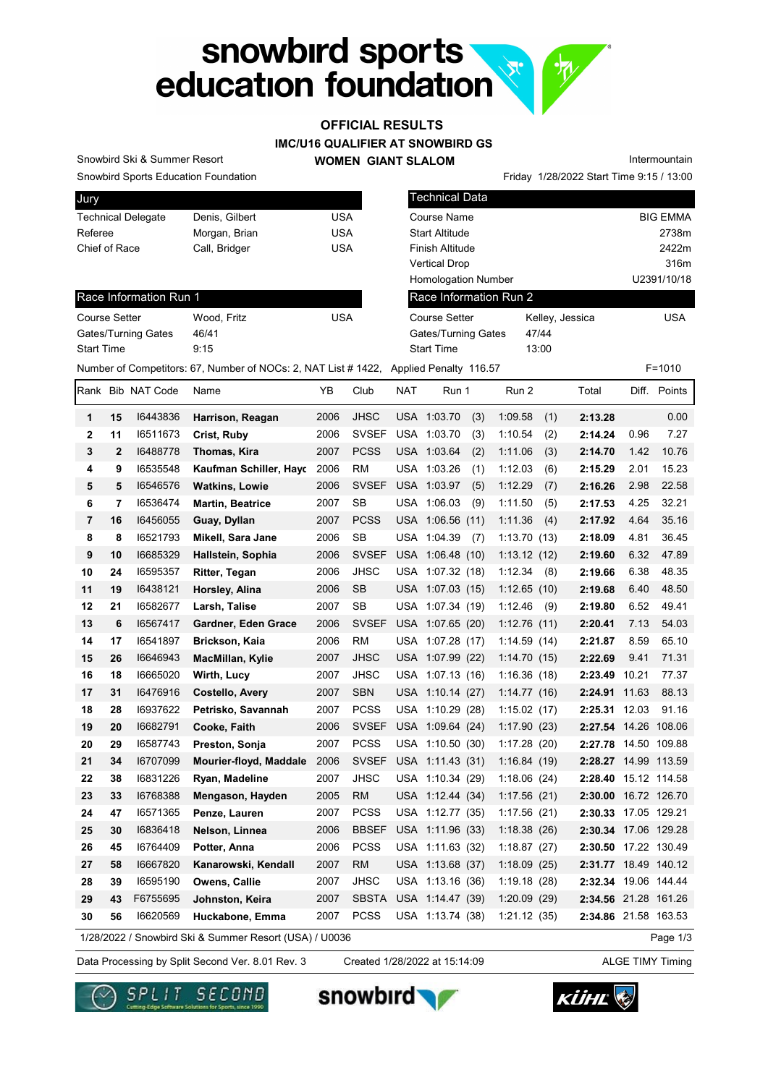# snowbird sports<br>education foundation

# OFFICIAL RESULTS

### IMC/U16 QUALIFIER AT SNOWBIRD GS

WOMEN GIANT SLALOM

Snowbird Sports Education Foundation Snowbird Ski & Summer Resort

Race Information Run 1

Gates/Turning Gates 46/41

| Jury                      |                |     |
|---------------------------|----------------|-----|
| <b>Technical Delegate</b> | Denis, Gilbert | USA |
| Referee                   | Morgan, Brian  | USA |
| Chief of Race             | Call, Bridger  | USA |
|                           |                |     |

Course Setter Wood, Fritz USA

|                                                    |                                   | Friday 1/28/2022 Start Time 9:15 / 13:00 |
|----------------------------------------------------|-----------------------------------|------------------------------------------|
| <b>Technical Data</b>                              |                                   |                                          |
| Course Name                                        |                                   | <b>BIG EMMA</b>                          |
| Start Altitude                                     |                                   | 2738m                                    |
| Finish Altitude                                    |                                   | 2422m                                    |
| <b>Vertical Drop</b>                               |                                   | 316m                                     |
| <b>Homologation Number</b>                         |                                   | U2391/10/18                              |
| Race Information Run 2                             |                                   |                                          |
| Course Setter<br>Gates/Turning Gates<br>Start Time | Kelley, Jessica<br>47/44<br>13:00 | USA                                      |
|                                                    |                                   |                                          |

Intermountain

Start Time 9:15 Number of Competitors: 67, Number of NOCs: 2, NAT List # 1422, Applied Penalty 116.57 F=1010

| Rank           |                | <b>Bib NAT Code</b> | Name                                                   | ΥB   | Club         | <b>NAT</b> | Run 1            |     | Run 2        |     | Total                |       | Diff. Points |
|----------------|----------------|---------------------|--------------------------------------------------------|------|--------------|------------|------------------|-----|--------------|-----|----------------------|-------|--------------|
| 1              | 15             | 16443836            | Harrison, Reagan                                       | 2006 | <b>JHSC</b>  |            | USA 1:03.70      | (3) | 1:09.58      | (1) | 2:13.28              |       | 0.00         |
| $\mathbf{2}$   | 11             | 16511673            | Crist, Ruby                                            | 2006 | <b>SVSEF</b> |            | USA 1:03.70      | (3) | 1:10.54      | (2) | 2:14.24              | 0.96  | 7.27         |
| 3              | $\mathbf{2}$   | 16488778            | Thomas, Kira                                           | 2007 | <b>PCSS</b>  |            | USA 1:03.64      | (2) | 1:11.06      | (3) | 2:14.70              | 1.42  | 10.76        |
| 4              | 9              | 16535548            | Kaufman Schiller, Hayd                                 | 2006 | <b>RM</b>    |            | USA 1:03.26      | (1) | 1:12.03      | (6) | 2:15.29              | 2.01  | 15.23        |
| 5              | 5              | 16546576            | <b>Watkins, Lowie</b>                                  | 2006 | <b>SVSEF</b> |            | USA 1:03.97      | (5) | 1:12.29      | (7) | 2:16.26              | 2.98  | 22.58        |
| 6              | $\overline{7}$ | 16536474            | Martin, Beatrice                                       | 2007 | <b>SB</b>    |            | USA 1:06.03      | (9) | 1:11.50      | (5) | 2:17.53              | 4.25  | 32.21        |
| $\overline{7}$ | 16             | 16456055            | Guay, Dyllan                                           | 2007 | <b>PCSS</b>  |            | USA 1:06.56 (11) |     | 1:11.36      | (4) | 2:17.92              | 4.64  | 35.16        |
| 8              | 8              | 16521793            | Mikell, Sara Jane                                      | 2006 | SB           |            | USA 1:04.39      | (7) | 1:13.70(13)  |     | 2:18.09              | 4.81  | 36.45        |
| 9              | 10             | 16685329            | Hallstein, Sophia                                      | 2006 | <b>SVSEF</b> |            | USA 1:06.48 (10) |     | 1:13.12(12)  |     | 2:19.60              | 6.32  | 47.89        |
| 10             | 24             | 16595357            | Ritter, Tegan                                          | 2006 | <b>JHSC</b>  |            | USA 1:07.32 (18) |     | 1:12.34      | (8) | 2:19.66              | 6.38  | 48.35        |
| 11             | 19             | 16438121            | Horsley, Alina                                         | 2006 | <b>SB</b>    |            | USA 1:07.03 (15) |     | 1:12.65(10)  |     | 2:19.68              | 6.40  | 48.50        |
| 12             | 21             | 16582677            | Larsh, Talise                                          | 2007 | <b>SB</b>    |            | USA 1:07.34 (19) |     | 1:12.46      | (9) | 2:19.80              | 6.52  | 49.41        |
| 13             | 6              | 16567417            | Gardner, Eden Grace                                    | 2006 | <b>SVSEF</b> |            | USA 1:07.65 (20) |     | 1:12.76(11)  |     | 2:20.41              | 7.13  | 54.03        |
| 14             | 17             | 16541897            | Brickson, Kaia                                         | 2006 | <b>RM</b>    |            | USA 1:07.28 (17) |     | 1:14.59(14)  |     | 2:21.87              | 8.59  | 65.10        |
| 15             | 26             | 16646943            | MacMillan, Kylie                                       | 2007 | <b>JHSC</b>  |            | USA 1:07.99 (22) |     | 1:14.70(15)  |     | 2:22.69              | 9.41  | 71.31        |
| 16             | 18             | 16665020            | Wirth, Lucy                                            | 2007 | <b>JHSC</b>  |            | USA 1:07.13 (16) |     | 1:16.36(18)  |     | 2:23.49              | 10.21 | 77.37        |
| 17             | 31             | 16476916            | Costello, Avery                                        | 2007 | <b>SBN</b>   |            | USA 1:10.14 (27) |     | 1:14.77(16)  |     | 2:24.91 11.63        |       | 88.13        |
| 18             | 28             | 16937622            | Petrisko, Savannah                                     | 2007 | <b>PCSS</b>  |            | USA 1:10.29 (28) |     | 1:15.02(17)  |     | 2:25.31 12.03        |       | 91.16        |
| 19             | 20             | 16682791            | Cooke, Faith                                           | 2006 | <b>SVSEF</b> |            | USA 1:09.64 (24) |     | 1:17.90(23)  |     | 2:27.54 14.26 108.06 |       |              |
| 20             | 29             | 16587743            | Preston, Sonja                                         | 2007 | <b>PCSS</b>  |            | USA 1:10.50 (30) |     | 1:17.28(20)  |     | 2:27.78 14.50 109.88 |       |              |
| 21             | 34             | 16707099            | Mourier-floyd, Maddale                                 | 2006 | <b>SVSEF</b> |            | USA 1:11.43 (31) |     | 1:16.84 (19) |     | 2:28.27 14.99 113.59 |       |              |
| 22             | 38             | 16831226            | Ryan, Madeline                                         | 2007 | <b>JHSC</b>  |            | USA 1:10.34 (29) |     | 1:18.06(24)  |     | 2:28.40 15.12 114.58 |       |              |
| 23             | 33             | 16768388            | Mengason, Hayden                                       | 2005 | <b>RM</b>    |            | USA 1:12.44 (34) |     | 1:17.56(21)  |     | 2:30.00 16.72 126.70 |       |              |
| 24             | 47             | 16571365            | Penze, Lauren                                          | 2007 | <b>PCSS</b>  |            | USA 1:12.77 (35) |     | 1:17.56 (21) |     | 2:30.33 17.05 129.21 |       |              |
| 25             | 30             | 16836418            | Nelson, Linnea                                         | 2006 | <b>BBSEF</b> |            | USA 1:11.96 (33) |     | 1:18.38(26)  |     | 2:30.34 17.06 129.28 |       |              |
| 26             | 45             | 16764409            | Potter, Anna                                           | 2006 | <b>PCSS</b>  |            | USA 1:11.63 (32) |     | 1:18.87(27)  |     | 2:30.50 17.22 130.49 |       |              |
| 27             | 58             | 16667820            | Kanarowski, Kendall                                    | 2007 | <b>RM</b>    |            | USA 1:13.68 (37) |     | 1:18.09(25)  |     | 2:31.77 18.49 140.12 |       |              |
| 28             | 39             | 16595190            | Owens, Callie                                          | 2007 | JHSC         | USA        | 1:13.16(36)      |     | 1:19.18(28)  |     | 2:32.34 19.06 144.44 |       |              |
| 29             | 43             | F6755695            | Johnston, Keira                                        | 2007 | <b>SBSTA</b> |            | USA 1:14.47 (39) |     | 1:20.09(29)  |     | 2:34.56 21.28 161.26 |       |              |
| 30             | 56             | 16620569            | Huckabone, Emma                                        | 2007 | <b>PCSS</b>  |            | USA 1:13.74 (38) |     | 1:21.12(35)  |     | 2:34.86 21.58 163.53 |       |              |
|                |                |                     | 1/28/2022 / Snowbird Ski & Summer Resort (USA) / U0036 |      |              |            |                  |     |              |     |                      |       | Page 1/3     |

1/28/2022 / Snowbird Ski & Summer Resort (USA) / U0036

Data Processing by Split Second Ver. 8.01 Rev. 3 Created 1/28/2022 at 15:14:09 ALGE TIMY Timing

snowbird

Created 1/28/2022 at 15:14:09





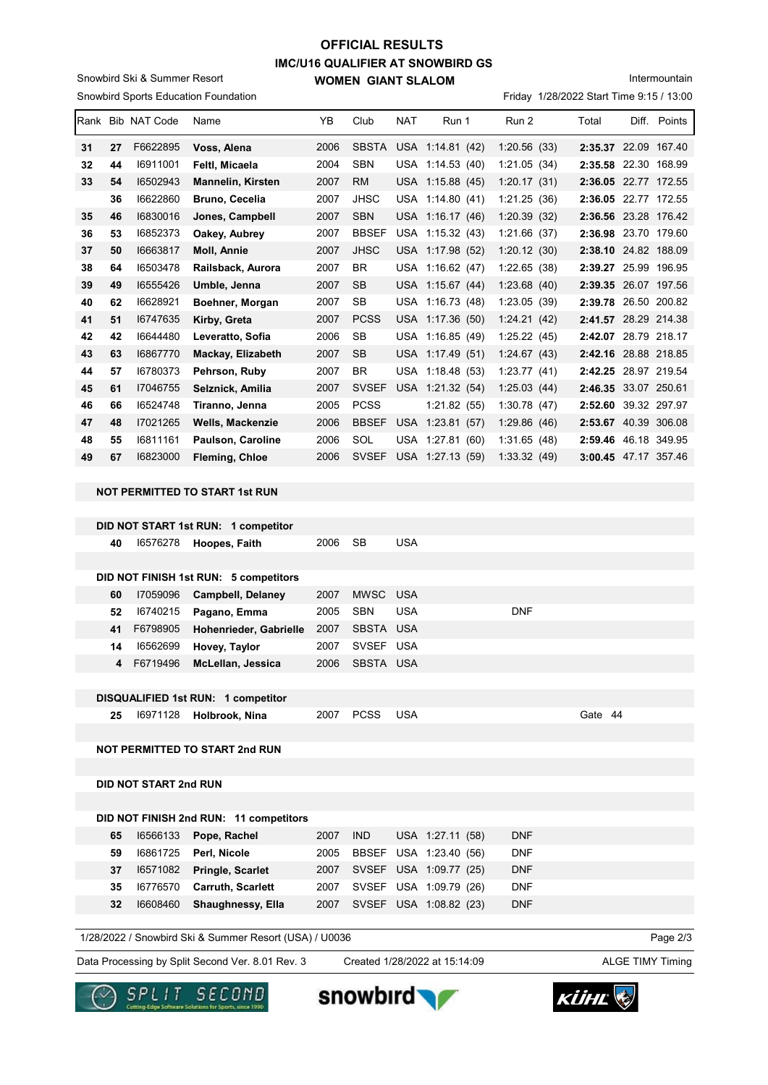# IMC/U16 QUALIFIER AT SNOWBIRD GS WOMEN GIANT SLALOM OFFICIAL RESULTS

Snowbird Sports Education Foundation Snowbird Ski & Summer Resort

### Intermountain

Friday 1/28/2022 Start Time 9:15 / 13:00

| lRank |    | <b>Bib NAT Code</b> | Name                     | YB   | Club         | <b>NAT</b> | Run 1            | Run 2       | Total                | Diff. | Points       |
|-------|----|---------------------|--------------------------|------|--------------|------------|------------------|-------------|----------------------|-------|--------------|
| 31    | 27 | F6622895            | Voss, Alena              | 2006 | <b>SBSTA</b> |            | USA 1:14.81 (42) | 1:20.56(33) | 2:35.37 22.09 167.40 |       |              |
| 32    | 44 | 16911001            | Feltl, Micaela           | 2004 | <b>SBN</b>   | USA        | 1:14.53(40)      | 1:21.05(34) | 2:35.58              |       | 22.30 168.99 |
| 33    | 54 | 16502943            | <b>Mannelin, Kirsten</b> | 2007 | <b>RM</b>    |            | USA 1:15.88 (45) | 1:20.17(31) | 2:36.05              |       | 22.77 172.55 |
|       | 36 | 16622860            | Bruno, Cecelia           | 2007 | <b>JHSC</b>  | USA        | 1:14.80(41)      | 1:21.25(36) | 2:36.05              |       | 22.77 172.55 |
| 35    | 46 | 16830016            | Jones, Campbell          | 2007 | <b>SBN</b>   |            | USA 1:16.17 (46) | 1:20.39(32) | 2:36.56 23.28 176.42 |       |              |
| 36    | 53 | 16852373            | Oakey, Aubrey            | 2007 | <b>BBSEF</b> | USA        | 1:15.32(43)      | 1:21.66(37) | 2:36.98              |       | 23.70 179.60 |
| 37    | 50 | 16663817            | <b>Moll, Annie</b>       | 2007 | <b>JHSC</b>  |            | USA 1:17.98 (52) | 1:20.12(30) | 2:38.10              |       | 24.82 188.09 |
| 38    | 64 | 16503478            | Railsback, Aurora        | 2007 | <b>BR</b>    | USA        | 1:16.62(47)      | 1:22.65(38) | 2:39.27 25.99 196.95 |       |              |
| 39    | 49 | 16555426            | Umble, Jenna             | 2007 | <b>SB</b>    |            | USA 1:15.67 (44) | 1:23.68(40) | 2:39.35 26.07 197.56 |       |              |
| 40    | 62 | 16628921            | Boehner, Morgan          | 2007 | <b>SB</b>    | USA        | 1:16.73(48)      | 1:23.05(39) | 2:39.78              |       | 26.50 200.82 |
| 41    | 51 | 16747635            | Kirby, Greta             | 2007 | <b>PCSS</b>  | <b>USA</b> | 1:17.36(50)      | 1:24.21(42) | 2:41.57              |       | 28.29 214.38 |
| 42    | 42 | 16644480            | Leveratto, Sofia         | 2006 | SB           | USA.       | 1:16.85(49)      | 1:25.22(45) | 2:42.07              |       | 28.79 218.17 |
| 43    | 63 | 16867770            | Mackay, Elizabeth        | 2007 | <b>SB</b>    |            | USA 1:17.49 (51) | 1:24.67(43) | 2:42.16 28.88 218.85 |       |              |
| 44    | 57 | 16780373            | Pehrson, Ruby            | 2007 | <b>BR</b>    | USA        | 1:18.48(53)      | 1:23.77(41) | 2:42.25              |       | 28.97 219.54 |
| 45    | 61 | 17046755            | Selznick, Amilia         | 2007 | <b>SVSEF</b> | USA        | 1:21.32(54)      | 1:25.03(44) | 2:46.35              |       | 33.07 250.61 |
| 46    | 66 | 16524748            | Tiranno, Jenna           | 2005 | <b>PCSS</b>  |            | 1:21.82(55)      | 1:30.78(47) | 2:52.60              |       | 39.32 297.97 |
| 47    | 48 | 17021265            | Wells, Mackenzie         | 2006 | <b>BBSEF</b> | <b>USA</b> | 1:23.81(57)      | 1:29.86(46) | 2:53.67 40.39 306.08 |       |              |
| 48    | 55 | 16811161            | Paulson, Caroline        | 2006 | SOL          | <b>USA</b> | 1:27.81(60)      | 1:31.65(48) | 2:59.46              |       | 46.18 349.95 |
| 49    | 67 | 16823000            | <b>Fleming, Chloe</b>    | 2006 | <b>SVSEF</b> | <b>USA</b> | 1:27.13(59)      | 1:33.32(49) | 3:00.45 47.17 357.46 |       |              |
|       |    |                     |                          |      |              |            |                  |             |                      |       |              |

### NOT PERMITTED TO START 1st RUN

|    |            | DID NOT START 1st RUN: 1 competitor   |      |             |            |     |      |     |
|----|------------|---------------------------------------|------|-------------|------------|-----|------|-----|
| 40 | 16576278   | Hoopes, Faith                         | 2006 | <b>SB</b>   | <b>USA</b> |     |      |     |
|    |            |                                       |      |             |            |     |      |     |
|    |            | DID NOT FINISH 1st RUN: 5 competitors |      |             |            |     |      |     |
| 60 | 17059096   | <b>Campbell, Delaney</b>              | 2007 | MWSC USA    |            |     |      |     |
| 52 | 16740215   | Pagano, Emma                          | 2005 | <b>SBN</b>  | <b>USA</b> | DNF |      |     |
| 41 | F6798905   | Hohenrieder, Gabrielle                | 2007 | SBSTA USA   |            |     |      |     |
| 14 | 16562699   | Hovey, Taylor                         | 2007 | SVSEF       | <b>USA</b> |     |      |     |
|    | 4 F6719496 | McLellan, Jessica                     | 2006 | SBSTA USA   |            |     |      |     |
|    |            |                                       |      |             |            |     |      |     |
|    |            | DISQUALIFIED 1st RUN: 1 competitor    |      |             |            |     |      |     |
| 25 | 16971128   | Holbrook, Nina                        | 2007 | <b>PCSS</b> | <b>USA</b> |     | Gate | -44 |
|    |            |                                       |      |             |            |     |      |     |

### NOT PERMITTED TO START 2nd RUN

DID NOT START 2nd RUN

|    |          | DID NOT FINISH 2nd RUN: 11 competitors |      |                        |                        |            |
|----|----------|----------------------------------------|------|------------------------|------------------------|------------|
| 65 |          | 16566133 Pope, Rachel                  | 2007 | <b>IND</b>             | USA 1:27.11 (58)       | <b>DNF</b> |
| 59 |          | 16861725    Perl. Nicole               | 2005 | BBSEF USA 1:23.40 (56) |                        | <b>DNF</b> |
| 37 |          | 16571082 Pringle, Scarlet              | 2007 |                        | SVSEF USA 1:09.77 (25) | <b>DNF</b> |
| 35 | 16776570 | <b>Carruth, Scarlett</b>               | 2007 |                        | SVSEF USA 1:09.79 (26) | <b>DNF</b> |
| 32 | 16608460 | Shaughnessy, Ella                      | 2007 |                        | SVSEF USA 1:08.82 (23) | <b>DNF</b> |

1/28/2022 / Snowbird Ski & Summer Resort (USA) / U0036

Data Processing by Split Second Ver. 8.01 Rev. 3 Created 1/28/2022 at 15:14:09 ALGE TIMY Timing

Created 1/28/2022 at 15:14:09

Page 2/3